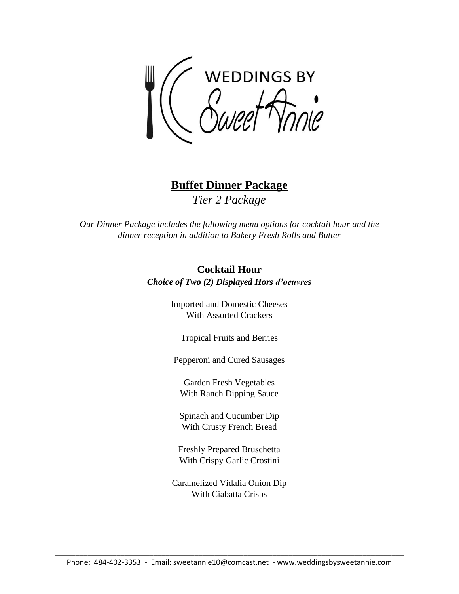WEDDINGS BY<br>Sweet Manie

**Buffet Dinner Package** *Tier 2 Package*

*Our Dinner Package includes the following menu options for cocktail hour and the dinner reception in addition to Bakery Fresh Rolls and Butter*

> **Cocktail Hour** *Choice of Two (2) Displayed Hors d'oeuvres*

> > Imported and Domestic Cheeses With Assorted Crackers

Tropical Fruits and Berries

Pepperoni and Cured Sausages

Garden Fresh Vegetables With Ranch Dipping Sauce

Spinach and Cucumber Dip With Crusty French Bread

Freshly Prepared Bruschetta With Crispy Garlic Crostini

Caramelized Vidalia Onion Dip With Ciabatta Crisps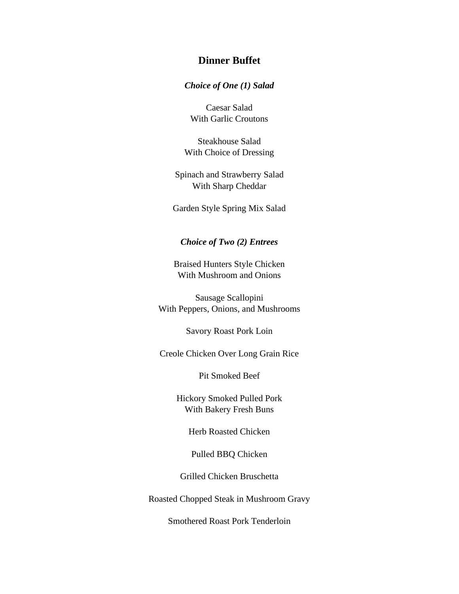## **Dinner Buffet**

#### *Choice of One (1) Salad*

Caesar Salad With Garlic Croutons

Steakhouse Salad With Choice of Dressing

Spinach and Strawberry Salad With Sharp Cheddar

Garden Style Spring Mix Salad

### *Choice of Two (2) Entrees*

Braised Hunters Style Chicken With Mushroom and Onions

Sausage Scallopini With Peppers, Onions, and Mushrooms

Savory Roast Pork Loin

Creole Chicken Over Long Grain Rice

Pit Smoked Beef

Hickory Smoked Pulled Pork With Bakery Fresh Buns

Herb Roasted Chicken

Pulled BBQ Chicken

Grilled Chicken Bruschetta

Roasted Chopped Steak in Mushroom Gravy

Smothered Roast Pork Tenderloin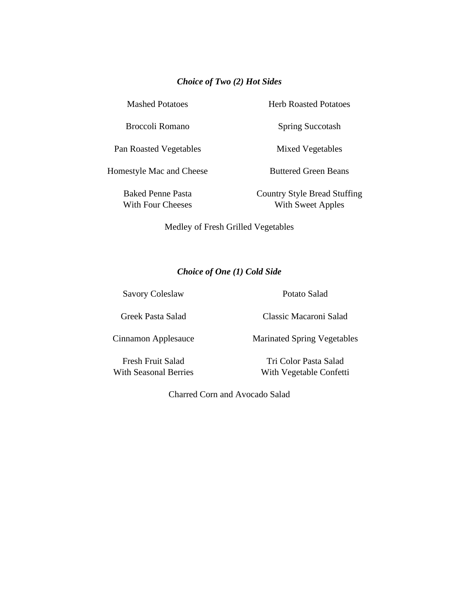### *Choice of Two (2) Hot Sides*

Mashed Potatoes

Broccoli Romano

Herb Roasted Potatoes

Spring Succotash

Pan Roasted Vegetables

Homestyle Mac and Cheese

Baked Penne Pasta With Four Cheeses Mixed Vegetables

Buttered Green Beans

Country Style Bread Stuffing With Sweet Apples

Medley of Fresh Grilled Vegetables

## *Choice of One (1) Cold Side*

Savory Coleslaw

Potato Salad

Greek Pasta Salad

Cinnamon Applesauce

Classic Macaroni Salad

Marinated Spring Vegetables

Fresh Fruit Salad With Seasonal Berries

Tri Color Pasta Salad With Vegetable Confetti

Charred Corn and Avocado Salad